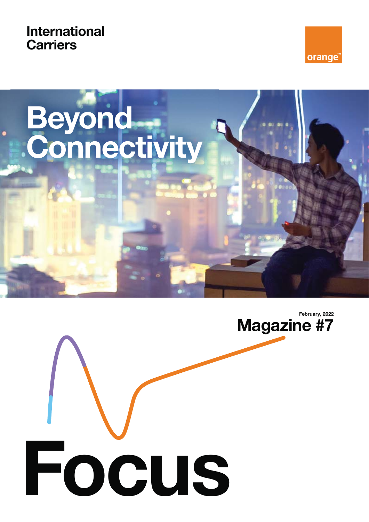**International Carriers**





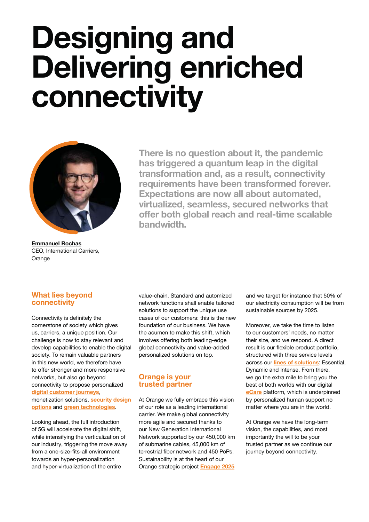# **Designing and Delivering enriched connectivity**



**Emmanuel Rochas** CEO, International Carriers, **Orange** 

**There is no question about it, the pandemic has triggered a quantum leap in the digital transformation and, as a result, connectivity requirements have been transformed forever. Expectations are now all about automated, virtualized, seamless, secured networks that**  offer both global reach and real-time scalable **bandwidth.**

#### **What lies beyond connectivity**

Connectivity is definitely the cornerstone of society which gives us, carriers, a unique position. Our challenge is now to stay relevant and develop capabilities to enable the digital society. To remain valuable partners in this new world, we therefore have to offer stronger and more responsive networks, but also go beyond connectivity to propose personalized **digital customer journeys**, monetization solutions, **security design options** and **green technologies**.

Looking ahead, the full introduction of 5G will accelerate the digital shift, while intensifying the verticalization of our industry, triggering the move away from a one-size-fits-all environment towards an hyper-personalization and hyper-virtualization of the entire

value-chain. Standard and automized network functions shall enable tailored solutions to support the unique use cases of our customers: this is the new foundation of our business. We have the acumen to make this shift, which involves offering both leading-edge global connectivity and value-added personalized solutions on top.

#### **Orange is your trusted partner**

At Orange we fully embrace this vision of our role as a leading international carrier. We make global connectivity more agile and secured thanks to our New Generation International Network supported by our 450,000 km of submarine cables, 45,000 km of terrestrial fiber network and 450 PoPs. Sustainability is at the heart of our Orange strategic project **Engage 2025**

and we target for instance that 50% of our electricity consumption will be from sustainable sources by 2025.

Moreover, we take the time to listen to our customers' needs, no matter their size, and we respond. A direct result is our flexible product portfolio, structured with three service levels across our **lines of solutions**: Essential, Dynamic and Intense. From there, we go the extra mile to bring you the best of both worlds with our digital **eCare** platform, which is underpinned by personalized human support no matter where you are in the world.

At Orange we have the long-term vision, the capabilities, and most importantly the will to be your trusted partner as we continue our journey beyond connectivity.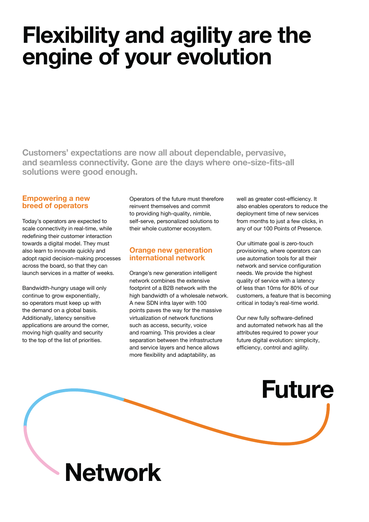## **Flexibility and agility are the engine of your evolution**

**Customers' expectations are now all about dependable, pervasive,**  and seamless connectivity. Gone are the days where one-size-fits-all **solutions were good enough.**

### **Empowering a new breed of operators**

Today's operators are expected to scale connectivity in real-time, while redefining their customer interaction towards a digital model. They must also learn to innovate quickly and adopt rapid decision-making processes across the board, so that they can launch services in a matter of weeks.

Bandwidth-hungry usage will only continue to grow exponentially, so operators must keep up with the demand on a global basis. Additionally, latency sensitive applications are around the corner, moving high quality and security to the top of the list of priorities.

Operators of the future must therefore reinvent themselves and commit to providing high-quality, nimble, self-serve, personalized solutions to their whole customer ecosystem.

### **Orange new generation international network**

Orange's new generation intelligent network combines the extensive footprint of a B2B network with the high bandwidth of a wholesale network. A new SDN infra layer with 100 points paves the way for the massive virtualization of network functions such as access, security, voice and roaming. This provides a clear separation between the infrastructure and service layers and hence allows more flexibility and adaptability, as

well as greater cost-efficiency. It also enables operators to reduce the deployment time of new services from months to just a few clicks, in any of our 100 Points of Presence.

Our ultimate goal is zero-touch provisioning, where operators can use automation tools for all their network and service configuration needs. We provide the highest quality of service with a latency of less than 10ms for 80% of our customers, a feature that is becoming critical in today's real-time world.

Our new fully software-defined and automated network has all the attributes required to power your future digital evolution: simplicity, efficiency, control and agility.

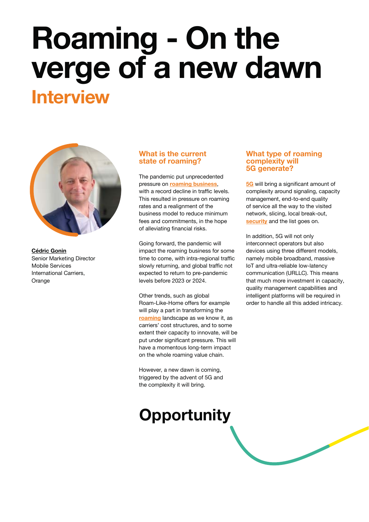# **Roaming - On the verge of a new dawn Interview**



**Cédric Gonin**  Senior Marketing Director Mobile Services International Carriers, Orange

### **What is the current state of roaming?**

The pandemic put unprecedented pressure on **roaming business**, with a record decline in traffic levels. This resulted in pressure on roaming rates and a realignment of the business model to reduce minimum fees and commitments, in the hope of alleviating financial risks.

Going forward, the pandemic will impact the roaming business for some time to come, with intra-regional traffic slowly returning, and global traffic not expected to return to pre-pandemic levels before 2023 or 2024.

Other trends, such as global Roam-Like-Home offers for example will play a part in transforming the **roaming** landscape as we know it, as carriers' cost structures, and to some extent their capacity to innovate, will be put under significant pressure. This will have a momentous long-term impact on the whole roaming value chain.

However, a new dawn is coming, triggered by the advent of 5G and the complexity it will bring.

### **Opportunity**

### **What type of roaming complexity will 5G generate?**

**5G** will bring a significant amount of complexity around signaling, capacity management, end-to-end quality of service all the way to the visited network, slicing, local break-out, **security** and the list goes on.

In addition, 5G will not only interconnect operators but also devices using three different models, namely mobile broadband, massive IoT and ultra-reliable low-latency communication (URLLC). This means that much more investment in capacity, quality management capabilities and intelligent platforms will be required in order to handle all this added intricacy.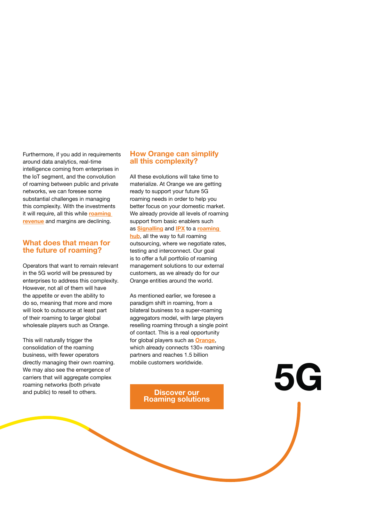Furthermore, if you add in requirements around data analytics, real-time intelligence coming from enterprises in the IoT segment, and the convolution of roaming between public and private networks, we can foresee some substantial challenges in managing this complexity. With the investments it will require, all this while **roaming revenue** and margins are declining.

### **What does that mean for the future of roaming?**

Operators that want to remain relevant in the 5G world will be pressured by enterprises to address this complexity. However, not all of them will have the appetite or even the ability to do so, meaning that more and more will look to outsource at least part of their roaming to larger global wholesale players such as Orange.

This will naturally trigger the consolidation of the roaming business, with fewer operators directly managing their own roaming. We may also see the emergence of carriers that will aggregate complex roaming networks (both private and public) to resell to others.

### **How Orange can simplify all this complexity?**

All these evolutions will take time to materialize. At Orange we are getting ready to support your future 5G roaming needs in order to help you better focus on your domestic market. We already provide all levels of roaming support from basic enablers such as **Signalling** and **IPX** to a **roaming hub**, all the way to full roaming outsourcing, where we negotiate rates,

testing and interconnect. Our goal is to offer a full portfolio of roaming management solutions to our external customers, as we already do for our Orange entities around the world.

As mentioned earlier, we foresee a paradigm shift in roaming, from a bilateral business to a super-roaming aggregators model, with large players reselling roaming through a single point of contact. This is a real opportunity for global players such as **Orange**, which already connects 130+ roaming partners and reaches 1.5 billion mobile customers worldwide.

**Roaming solutions**

Discover our **5G**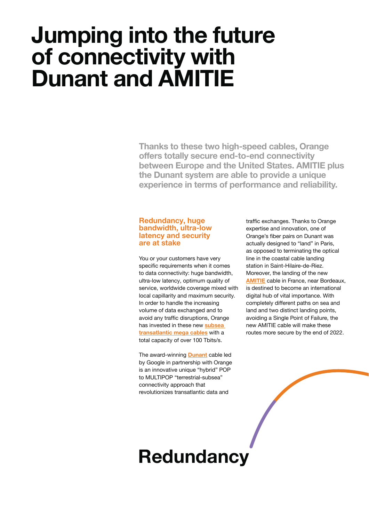### **Jumping into the future of connectivity with Dunant and AMITIE**

**Thanks to these two high-speed cables, Orange** offers totally secure end-to-end connectivity **between Europe and the United States. AMITIE plus the Dunant system are able to provide a unique experience in terms of performance and reliability.**

#### **Redundancy, huge bandwidth, ultra-low latency and security are at stake**

You or your customers have very specific requirements when it comes to data connectivity: huge bandwidth, ultra-low latency, optimum quality of service, worldwide coverage mixed with local capillarity and maximum security. In order to handle the increasing volume of data exchanged and to avoid any traffic disruptions, Orange has invested in these new **subsea transatlantic mega cables** with a total capacity of over 100 Tbits/s.

The award-winning **Dunant** cable led by Google in partnership with Orange is an innovative unique "hybrid" POP to MULTIPOP "terrestrial-subsea" connectivity approach that revolutionizes transatlantic data and

traffic exchanges. Thanks to Orange expertise and innovation, one of Orange's fiber pairs on Dunant was actually designed to "land" in Paris, as opposed to terminating the optical line in the coastal cable landing station in Saint-Hilaire-de-Riez. Moreover, the landing of the new **AMITIE** cable in France, near Bordeaux, is destined to become an international digital hub of vital importance. With completely different paths on sea and land and two distinct landing points, avoiding a Single Point of Failure, the new AMITIE cable will make these routes more secure by the end of 2022.

### **Redundancy**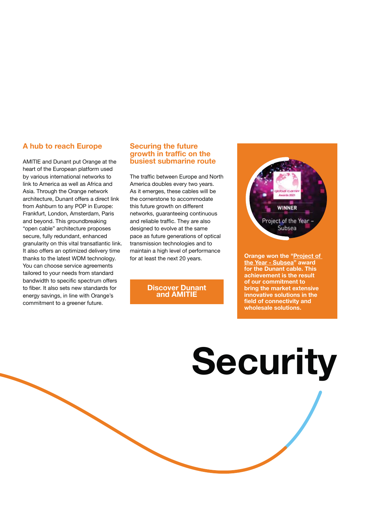### **A hub to reach Europe**

AMITIE and Dunant put Orange at the heart of the European platform used by various international networks to link to America as well as Africa and Asia. Through the Orange network architecture, Dunant offers a direct link from Ashburn to any POP in Europe: Frankfurt, London, Amsterdam, Paris and beyond. This groundbreaking "open cable" architecture proposes secure, fully redundant, enhanced granularity on this vital transatlantic link. It also offers an optimized delivery time thanks to the latest WDM technology. You can choose service agreements tailored to your needs from standard bandwidth to specific spectrum offers to fiber. It also sets new standards for energy savings, in line with Orange's commitment to a greener future.

#### **Securing the future growth in traffic on the busiest submarine route**

The traffic between Europe and North America doubles every two years. As it emerges, these cables will be the cornerstone to accommodate this future growth on different networks, guaranteeing continuous and reliable traffic. They are also designed to evolve at the same pace as future generations of optical transmission technologies and to maintain a high level of performance for at least the next 20 years.

#### **Discover Dunant and AMITIE**



**Orange won the "Project of**  the Year - Subsea" award **for the Dunant cable. This achievement is the result of our commitment to bring the market extensive innovative solutions in the field of connectivity and wholesale solutions.** 

# **Security**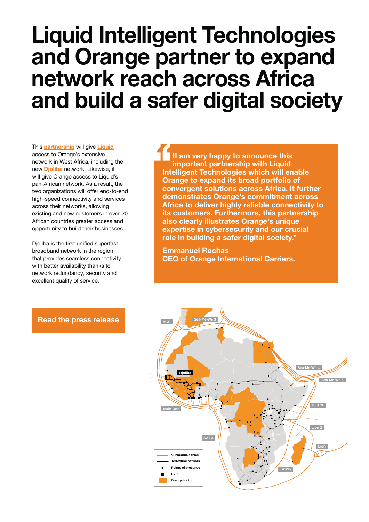### **Liquid Intelligent Technologies and Orange partner to expand network reach across Africa and build a safer digital society**

This **partnership** will give **Liquid** access to Orange's extensive network in West Africa, including the new **Djoliba** network. Likewise, it will give Orange access to Liquid's pan-African network. As a result, the two organizations will offer end-to-end high-speed connectivity and services across their networks, allowing existing and new customers in over 20 African countries greater access and opportunity to build their businesses.

Djoliba is the first unified superfast broadband network in the region that provides seamless connectivity with better availability thanks to network redundancy, security and excellent quality of service.

**II am very happy to announce this important partnership with Liquid Intelligent Technologies which will enable Orange to expand its broad portfolio of convergent solutions across Africa. It further demonstrates Orange's commitment across Africa to deliver highly reliable connectivity to its customers. Furthermore, this partnership also clearly illustrates Orange's unique expertise in cybersecurity and our crucial role in building a safer digital society."**

**Emmanuel Rochas CEO of Orange International Carriers.**



#### **Read the press release**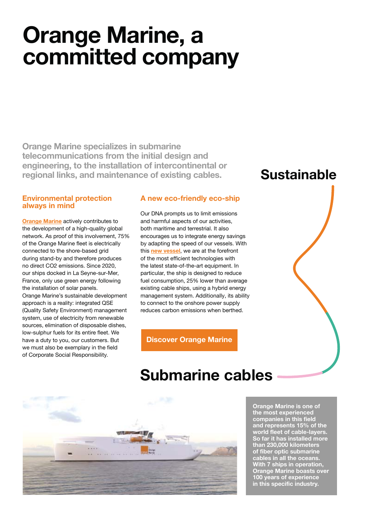## **Orange Marine, a committed company**

**Orange Marine specializes in submarine telecommunications from the initial design and engineering, to the installation of intercontinental or regional links, and maintenance of existing cables.** 

### **Environmental protection always in mind**

**Orange Marine** actively contributes to the development of a high-quality global network. As proof of this involvement, 75% of the Orange Marine fleet is electrically connected to the shore-based grid during stand-by and therefore produces no direct CO2 emissions. Since 2020, our ships docked in La Seyne-sur-Mer, France, only use green energy following the installation of solar panels. Orange Marine's sustainable development approach is a reality: integrated QSE (Quality Safety Environment) management system, use of electricity from renewable sources, elimination of disposable dishes, low-sulphur fuels for its entire fleet. We have a duty to you, our customers. But we must also be exemplary in the field of Corporate Social Responsibility.

### **A new eco-friendly eco-ship**

Our DNA prompts us to limit emissions and harmful aspects of our activities, both maritime and terrestrial. It also encourages us to integrate energy savings by adapting the speed of our vessels. With this **new vessel**, we are at the forefront of the most efficient technologies with the latest state-of-the-art equipment. In particular, the ship is designed to reduce fuel consumption, 25% lower than average existing cable ships, using a hybrid energy management system. Additionally, its ability to connect to the onshore power supply reduces carbon emissions when berthed.

**Discover Orange Marine**

### **Submarine cables**



**Orange Marine is one of the most experienced companies in this field and represents 15% of the**  world fleet of cable-layers. **So far it has installed more than 230,000 kilometers of fiber optic submarine cables in all the oceans. With 7 ships in operation, Orange Marine boasts over 100 years of experience in this specific industry.** 

### **Sustainable**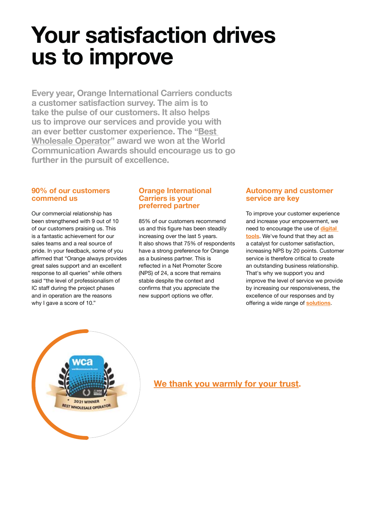# **Your satisfaction drives us to improve**

**Every year, Orange International Carriers conducts a customer satisfaction survey. The aim is to take the pulse of our customers. It also helps us to improve our services and provide you with an ever better customer experience. The "Best Wholesale Operator" award we won at the World Communication Awards should encourage us to go further in the pursuit of excellence.** 

### **90% of our customers commend us**

Our commercial relationship has been strengthened with 9 out of 10 of our customers praising us. This is a fantastic achievement for our sales teams and a real source of pride. In your feedback, some of you affirmed that "Orange always provides great sales support and an excellent response to all queries" while others said "the level of professionalism of IC staff during the project phases and in operation are the reasons why I gave a score of 10."

#### **Orange International Carriers is your preferred partner**

85% of our customers recommend us and this figure has been steadily increasing over the last 5 years. It also shows that 75% of respondents have a strong preference for Orange as a business partner. This is reflected in a Net Promoter Score (NPS) of 24, a score that remains stable despite the context and confirms that you appreciate the new support options we offer.

### **Autonomy and customer service are key**

To improve your customer experience and increase your empowerment, we need to encourage the use of **digital tools**. We've found that they act as a catalyst for customer satisfaction, increasing NPS by 20 points. Customer service is therefore critical to create an outstanding business relationship. That's why we support you and improve the level of service we provide by increasing our responsiveness, the excellence of our responses and by offering a wide range of **solutions**.



### **We thank you warmly for your trust.**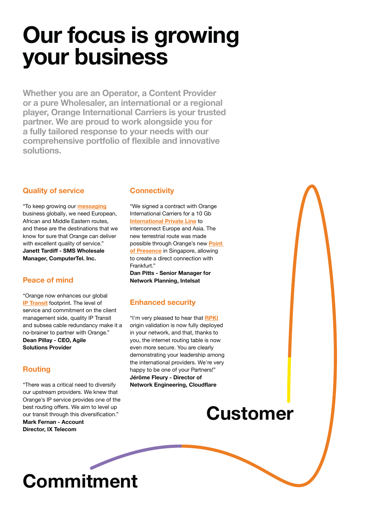# **Our focus is growing your business**

**Whether you are an Operator, a Content Provider or a pure Wholesaler, an international or a regional player, Orange International Carriers is your trusted partner. We are proud to work alongside you for a fully tailored response to your needs with our**  comprehensive portfolio of flexible and innovative **solutions.** 

### **Quality of service**

"To keep growing our **messaging** business globally, we need European, African and Middle Eastern routes, and these are the destinations that we know for sure that Orange can deliver with excellent quality of service." **Janett Tardiff - SMS Wholesale Manager, ComputerTel. Inc.**

### **Peace of mind**

"Orange now enhances our global **IP Transit** footprint. The level of service and commitment on the client management side, quality IP Transit and subsea cable redundancy make it a no-brainer to partner with Orange." Dean Pillay - CEO, Agile **Solutions Provider**

### **Routing**

"There was a critical need to diversify our upstream providers. We knew that Orange's IP service provides one of the best routing offers. We aim to level up our transit through this diversification." **Mark Fernan - Account Director, IX Telecom**

### **Connectivity**

"We signed a contract with Orange International Carriers for a 10 Gb **International Private Line** to interconnect Europe and Asia. The new terrestrial route was made possible through Orange's new **Point of Presence** in Singapore, allowing to create a direct connection with Frankfurt." **Dan Pitts - Senior Manager for Network Planning, Intelsat**

### **Enhanced security**

"I'm very pleased to hear that **RPKI** origin validation is now fully deployed in your network, and that, thanks to you, the internet routing table is now even more secure. You are clearly demonstrating your leadership among the international providers. We're very happy to be one of your Partners!" **Jérôme Fleury - Director of Network Engineering, Cloudflare**

### **Customer**

# **Commitment**